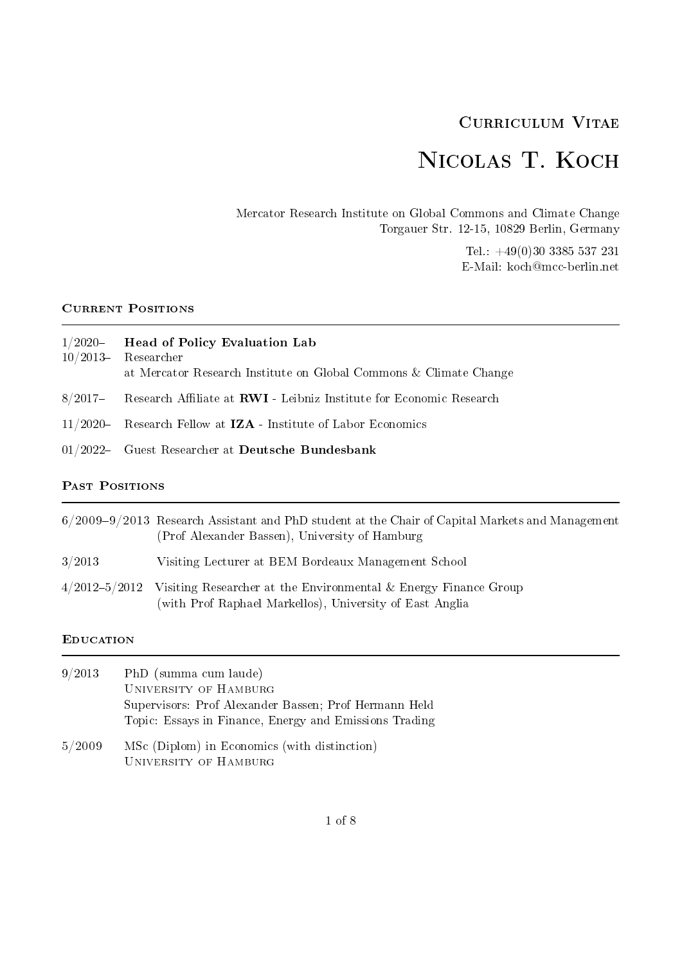# Curriculum Vitae

# Nicolas T. Koch

Mercator Research Institute on Global Commons and Climate Change Torgauer Str. 12-15, 10829 Berlin, Germany

> Tel.: +49(0)30 3385 537 231 E-Mail: koch@mcc-berlin.net

# CURRENT POSITIONS

| $1/2020$ Head of Policy Evaluation Lab                            |
|-------------------------------------------------------------------|
| $10/2013$ Researcher                                              |
| at Mercator Research Institute on Global Commons & Climate Change |

- $8/2017$  Research Affiliate at **RWI** Leibniz Institute for Economic Research
- 11/2020 Research Fellow at  $IZA$  Institute of Labor Economics
- 01/2022 Guest Researcher at Deutsche Bundesbank

# PAST POSITIONS

|                   | $6/2009-9/2013$ Research Assistant and PhD student at the Chair of Capital Markets and Management<br>(Prof Alexander Bassen), University of Hamburg |
|-------------------|-----------------------------------------------------------------------------------------------------------------------------------------------------|
| 3/2013            | Visiting Lecturer at BEM Bordeaux Management School                                                                                                 |
| $4/2012 - 5/2012$ | Visiting Researcher at the Environmental $&$ Energy Finance Group<br>(with Prof Raphael Markellos), University of East Anglia                       |

#### **EDUCATION**

| 9/2013      | PhD (summa cum laude)                                  |
|-------------|--------------------------------------------------------|
|             | UNIVERSITY OF HAMBURG                                  |
|             | Supervisors: Prof Alexander Bassen; Prof Hermann Held  |
|             | Topic: Essays in Finance, Energy and Emissions Trading |
| $-1$ $   -$ |                                                        |

5/2009 MSc (Diplom) in Economics (with distinction) University of Hamburg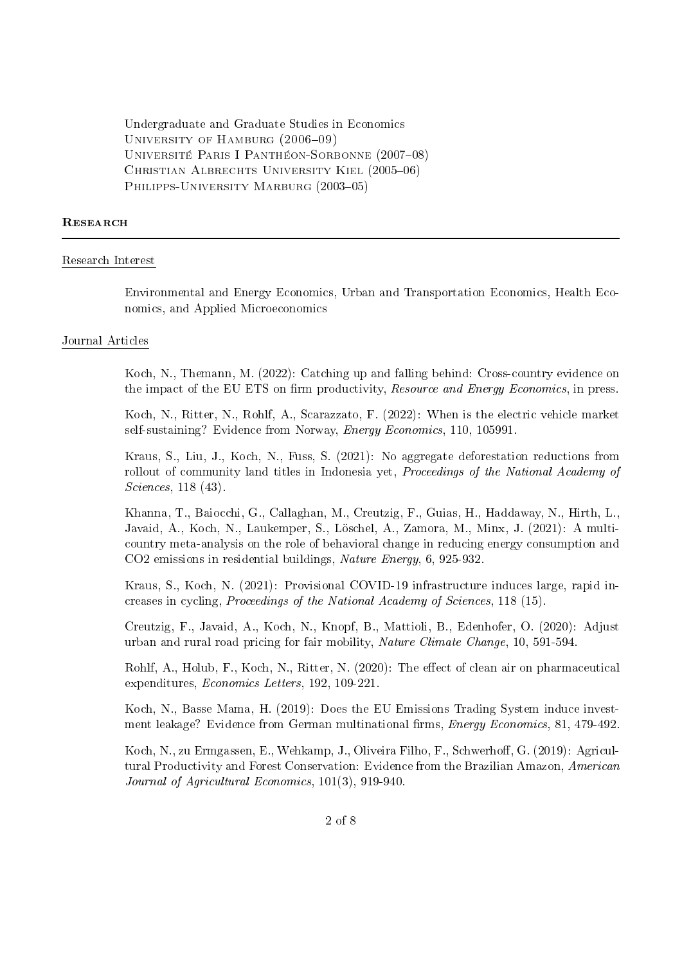Undergraduate and Graduate Studies in Economics UNIVERSITY OF HAMBURG  $(2006-09)$ UNIVERSITÉ PARIS I PANTHÉON-SORBONNE (2007-08) CHRISTIAN ALBRECHTS UNIVERSITY KIEL (2005-06) PHILIPPS-UNIVERSITY MARBURG (2003-05)

#### **RESEARCH**

#### Research Interest

Environmental and Energy Economics, Urban and Transportation Economics, Health Economics, and Applied Microeconomics

#### Journal Articles

Koch, N., Themann, M. (2022): Catching up and falling behind: Cross-country evidence on the impact of the EU ETS on firm productivity, Resource and Energy Economics, in press.

Koch, N., Ritter, N., Rohlf, A., Scarazzato, F. (2022): When is the electric vehicle market self-sustaining? Evidence from Norway, *Energy Economics*, 110, 105991.

Kraus, S., Liu, J., Koch, N., Fuss, S. (2021): No aggregate deforestation reductions from rollout of community land titles in Indonesia yet, *Proceedings of the National Academy of* Sciences, 118 (43).

Khanna, T., Baiocchi, G., Callaghan, M., Creutzig, F., Guias, H., Haddaway, N., Hirth, L., Javaid, A., Koch, N., Laukemper, S., Löschel, A., Zamora, M., Minx, J. (2021): A multicountry meta-analysis on the role of behavioral change in reducing energy consumption and CO2 emissions in residential buildings, Nature Energy, 6, 925-932.

Kraus, S., Koch, N. (2021): Provisional COVID-19 infrastructure induces large, rapid increases in cycling, Proceedings of the National Academy of Sciences, 118 (15).

Creutzig, F., Javaid, A., Koch, N., Knopf, B., Mattioli, B., Edenhofer, O. (2020): Adjust urban and rural road pricing for fair mobility, Nature Climate Change, 10, 591-594.

Rohlf, A., Holub, F., Koch, N., Ritter, N. (2020): The effect of clean air on pharmaceutical expenditures, Economics Letters, 192, 109-221.

Koch, N., Basse Mama, H. (2019): Does the EU Emissions Trading System induce investment leakage? Evidence from German multinational firms, *Energy Economics*, 81, 479-492.

Koch, N., zu Ermgassen, E., Wehkamp, J., Oliveira Filho, F., Schwerhoff, G. (2019): Agricultural Productivity and Forest Conservation: Evidence from the Brazilian Amazon, American Journal of Agricultural Economics, 101(3), 919-940.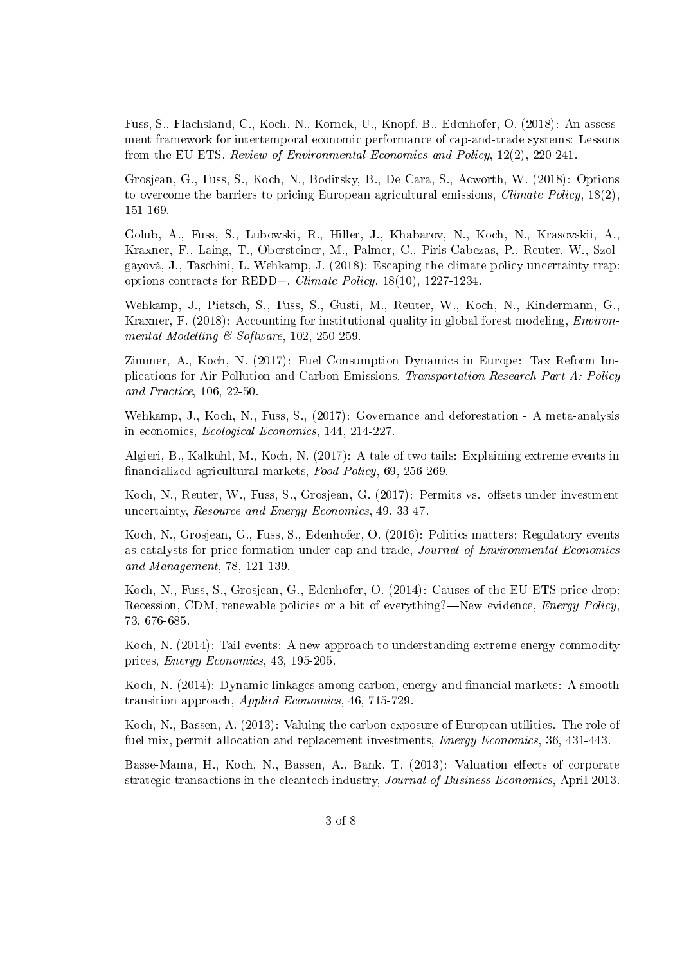Fuss, S., Flachsland, C., Koch, N., Kornek, U., Knopf, B., Edenhofer, O. (2018): An assessment framework for intertemporal economic performance of cap-and-trade systems: Lessons from the EU-ETS, Review of Environmental Economics and Policy, 12(2), 220-241.

Grosjean, G., Fuss, S., Koch, N., Bodirsky, B., De Cara, S., Acworth, W. (2018): Options to overcome the barriers to pricing European agricultural emissions, *Climate Policy*,  $18(2)$ . 151-169.

Golub, A., Fuss, S., Lubowski, R., Hiller, J., Khabarov, N., Koch, N., Krasovskii, A., Kraxner, F., Laing, T., Obersteiner, M., Palmer, C., Piris-Cabezas, P., Reuter, W., Szolgayová, J., Taschini, L. Wehkamp, J. (2018): Escaping the climate policy uncertainty trap: options contracts for REDD+, Climate Policy, 18(10), 1227-1234.

Wehkamp, J., Pietsch, S., Fuss, S., Gusti, M., Reuter, W., Koch, N., Kindermann, G., Kraxner, F. (2018): Accounting for institutional quality in global forest modeling, *Environ*mental Modelling & Software, 102, 250-259.

Zimmer, A., Koch, N. (2017): Fuel Consumption Dynamics in Europe: Tax Reform Implications for Air Pollution and Carbon Emissions, Transportation Research Part A: Policy and Practice, 106, 22-50.

Wehkamp, J., Koch, N., Fuss, S., (2017): Governance and deforestation - A meta-analysis in economics, Ecological Economics, 144, 214-227.

Algieri, B., Kalkuhl, M., Koch, N. (2017): A tale of two tails: Explaining extreme events in financialized agricultural markets, Food Policy, 69, 256-269.

Koch, N., Reuter, W., Fuss, S., Grosjean, G. (2017): Permits vs. offsets under investment uncertainty, Resource and Energy Economics, 49, 33-47.

Koch, N., Grosjean, G., Fuss, S., Edenhofer, O. (2016): Politics matters: Regulatory events as catalysts for price formation under cap-and-trade, Journal of Environmental Economics and Management, 78, 121-139.

Koch, N., Fuss, S., Grosjean, G., Edenhofer, O. (2014): Causes of the EU ETS price drop: Recession, CDM, renewable policies or a bit of everything?—New evidence,  $Energy$  Policy, 73, 676-685.

Koch, N. (2014): Tail events: A new approach to understanding extreme energy commodity prices, Energy Economics, 43, 195-205.

Koch, N. (2014): Dynamic linkages among carbon, energy and financial markets: A smooth transition approach, Applied Economics, 46, 715-729.

Koch, N., Bassen, A. (2013): Valuing the carbon exposure of European utilities. The role of fuel mix, permit allocation and replacement investments, *Energy Economics*, 36, 431-443.

Basse-Mama, H., Koch, N., Bassen, A., Bank, T. (2013): Valuation effects of corporate strategic transactions in the cleantech industry, Journal of Business Economics, April 2013.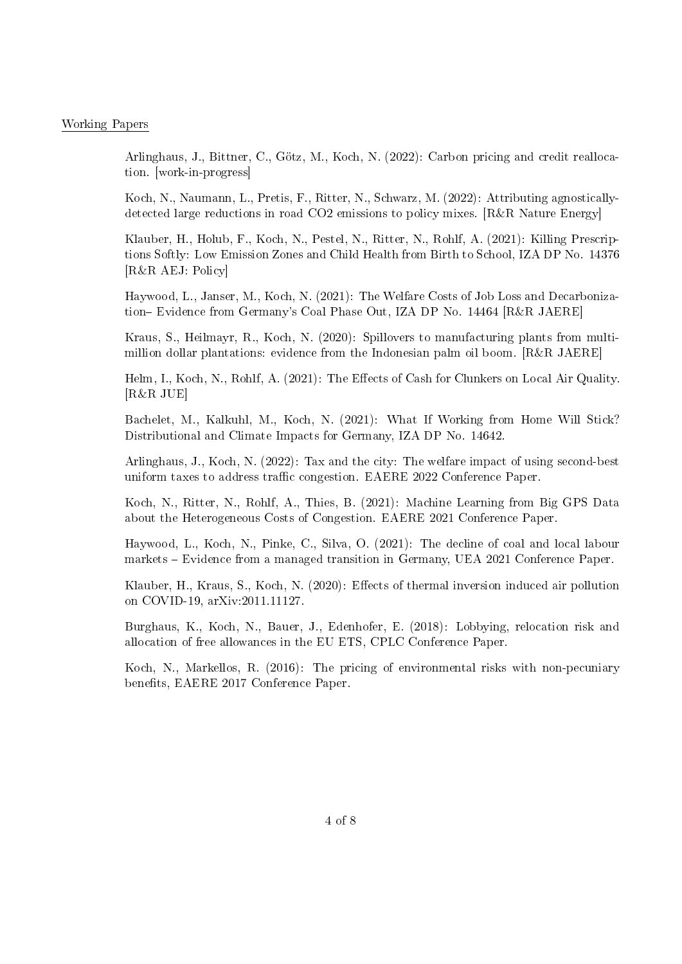#### Working Papers

Arlinghaus, J., Bittner, C., Götz, M., Koch, N. (2022): Carbon pricing and credit reallocation. [work-in-progress]

Koch, N., Naumann, L., Pretis, F., Ritter, N., Schwarz, M. (2022): Attributing agnosticallydetected large reductions in road CO2 emissions to policy mixes. [R&R Nature Energy]

Klauber, H., Holub, F., Koch, N., Pestel, N., Ritter, N., Rohlf, A. (2021): Killing Prescriptions Softly: Low Emission Zones and Child Health from Birth to School, IZA DP No. 14376 [R&R AEJ: Policy]

Haywood, L., Janser, M., Koch, N. (2021): The Welfare Costs of Job Loss and Decarbonization-Evidence from Germany's Coal Phase Out, IZA DP No. 14464 [R&R JAERE]

Kraus, S., Heilmayr, R., Koch, N. (2020): Spillovers to manufacturing plants from multimillion dollar plantations: evidence from the Indonesian palm oil boom. [R&R JAERE]

Helm, I., Koch, N., Rohlf, A. (2021): The Effects of Cash for Clunkers on Local Air Quality. [R&R JUE]

Bachelet, M., Kalkuhl, M., Koch, N. (2021): What If Working from Home Will Stick? Distributional and Climate Impacts for Germany, IZA DP No. 14642.

Arlinghaus, J., Koch, N. (2022): Tax and the city: The welfare impact of using second-best uniform taxes to address traffic congestion. EAERE 2022 Conference Paper.

Koch, N., Ritter, N., Rohlf, A., Thies, B. (2021): Machine Learning from Big GPS Data about the Heterogeneous Costs of Congestion. EAERE 2021 Conference Paper.

Haywood, L., Koch, N., Pinke, C., Silva, O. (2021): The decline of coal and local labour markets Evidence from a managed transition in Germany, UEA 2021 Conference Paper.

Klauber, H., Kraus, S., Koch, N. (2020): Effects of thermal inversion induced air pollution on COVID-19, arXiv:2011.11127.

Burghaus, K., Koch, N., Bauer, J., Edenhofer, E. (2018): Lobbying, relocation risk and allocation of free allowances in the EU ETS, CPLC Conference Paper.

Koch, N., Markellos, R. (2016): The pricing of environmental risks with non-pecuniary benefits, EAERE 2017 Conference Paper.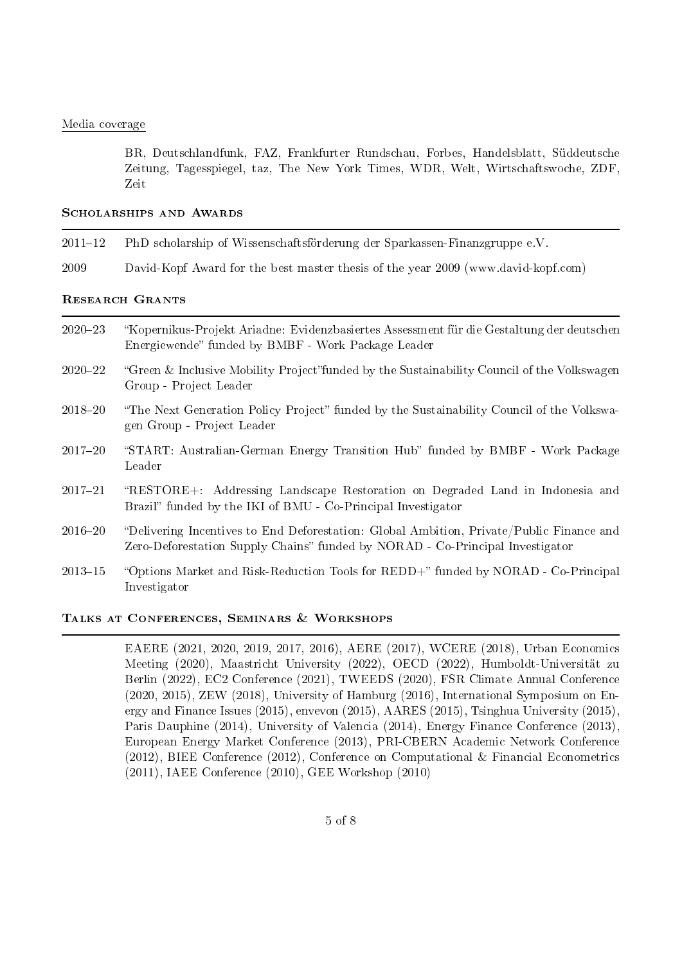#### Media coverage

BR, Deutschlandfunk, FAZ, Frankfurter Rundschau, Forbes, Handelsblatt, Süddeutsche Zeitung, Tagesspiegel, taz, The New York Times, WDR, Welt, Wirtschaftswoche, ZDF, Zeit

#### SCHOLARSHIPS AND AWARDS

- 2011-12 PhD scholarship of Wissenschaftsförderung der Sparkassen-Finanzgruppe e.V.
- 2009 David-Kopf Award for the best master thesis of the year 2009 (www.david-kopf.com)

#### Research Grants

- 202023 Kopernikus-Projekt Ariadne: Evidenzbasiertes Assessment für die Gestaltung der deutschen Energiewende" funded by BMBF - Work Package Leader
- 2020–22 "Green & Inclusive Mobility Project" funded by the Sustainability Council of the Volkswagen Group - Project Leader
- 2018–20 "The Next Generation Policy Project" funded by the Sustainability Council of the Volkswagen Group - Project Leader
- 2017-20 "START: Australian-German Energy Transition Hub" funded by BMBF Work Package Leader
- 201721 RESTORE+: Addressing Landscape Restoration on Degraded Land in Indonesia and Brazil" funded by the IKI of BMU - Co-Principal Investigator
- 201620 Delivering Incentives to End Deforestation: Global Ambition, Private/Public Finance and Zero-Deforestation Supply Chains" funded by NORAD - Co-Principal Investigator
- 2013–15 "Options Market and Risk-Reduction Tools for REDD+" funded by NORAD Co-Principal Investigator

#### Talks at Conferences, Seminars & Workshops

EAERE (2021, 2020, 2019, 2017, 2016), AERE (2017), WCERE (2018), Urban Economics Meeting (2020), Maastricht University (2022), OECD (2022), Humboldt-Universität zu Berlin (2022), EC2 Conference (2021), TWEEDS (2020), FSR Climate Annual Conference (2020, 2015), ZEW (2018), University of Hamburg (2016), International Symposium on Energy and Finance Issues (2015), envevon (2015), AARES (2015), Tsinghua University (2015), Paris Dauphine (2014), University of Valencia (2014), Energy Finance Conference (2013), European Energy Market Conference (2013), PRI-CBERN Academic Network Conference (2012), BIEE Conference (2012), Conference on Computational & Financial Econometrics (2011), IAEE Conference (2010), GEE Workshop (2010)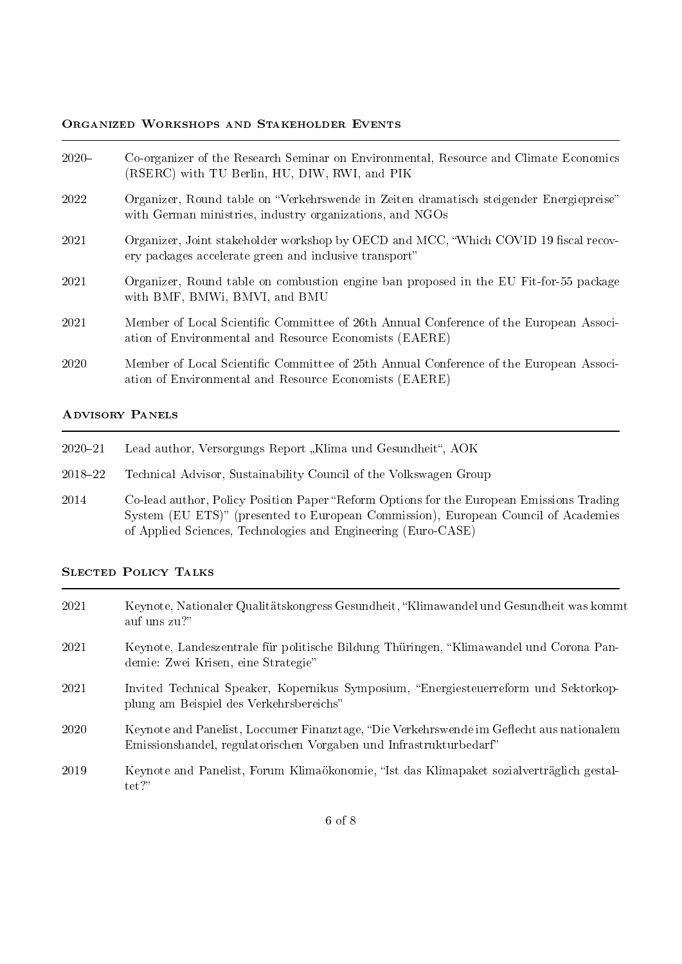## Organized Workshops and Stakeholder Events

| $2020 -$ | Co-organizer of the Research Seminar on Environmental, Resource and Climate Economics<br>(RSERC) with TU Berlin, HU, DIW, RWI, and PIK              |
|----------|-----------------------------------------------------------------------------------------------------------------------------------------------------|
| 2022     | Organizer, Round table on "Verkehrswende in Zeiten dramatisch steigender Energiepreise"<br>with German ministries, industry organizations, and NGOs |
| 2021     | Organizer, Joint stakeholder workshop by OECD and MCC, "Which COVID 19 fiscal recov-<br>ery packages accelerate green and inclusive transport"      |
| 2021     | Organizer, Round table on combustion engine ban proposed in the EU Fit-for-55 package<br>with BMF, BMWi, BMVI, and BMU                              |
| 2021     | Member of Local Scientific Committee of 26th Annual Conference of the European Associ-<br>ation of Environmental and Resource Economists (EAERE)    |
| 2020     | Member of Local Scientific Committee of 25th Annual Conference of the European Associ-<br>ation of Environmental and Resource Economists (EAERE)    |

## Advisory Panels

- 2020-21 Lead author, Versorgungs Report "Klima und Gesundheit", AOK
- 2018-22 Technical Advisor, Sustainability Council of the Volkswagen Group
- 2014 Co-lead author, Policy Position Paper "Reform Options for the European Emissions Trading System (EU ETS)" (presented to European Commission), European Council of Academies of Applied Sciences, Technologies and Engineering (Euro-CASE)

# Slected Policy Talks

| 2021 | Keynote, Nationaler Qualitätskongress Gesundheit, "Klimawandel und Gesundheit was kommt<br>auf uns zu?"                                                        |
|------|----------------------------------------------------------------------------------------------------------------------------------------------------------------|
| 2021 | Keynote, Landeszentrale für politische Bildung Thüringen, "Klimawandel und Corona Pan-<br>demie: Zwei Krisen, eine Strategie"                                  |
| 2021 | Invited Technical Speaker, Kopernikus Symposium, "Energiesteuerreform und Sektorkop-<br>plung am Beispiel des Verkehrsbereichs"                                |
| 2020 | Keynote and Panelist, Loccumer Finanztage, "Die Verkehrswende im Geflecht aus nationalem<br>Emissionshandel, regulatorischen Vorgaben und Infrastrukturbedarf" |
| 2019 | Keynote and Panelist, Forum Klimaökonomie, "Ist das Klimapaket sozialverträglich gestal-<br>$\text{tet}$ ?"                                                    |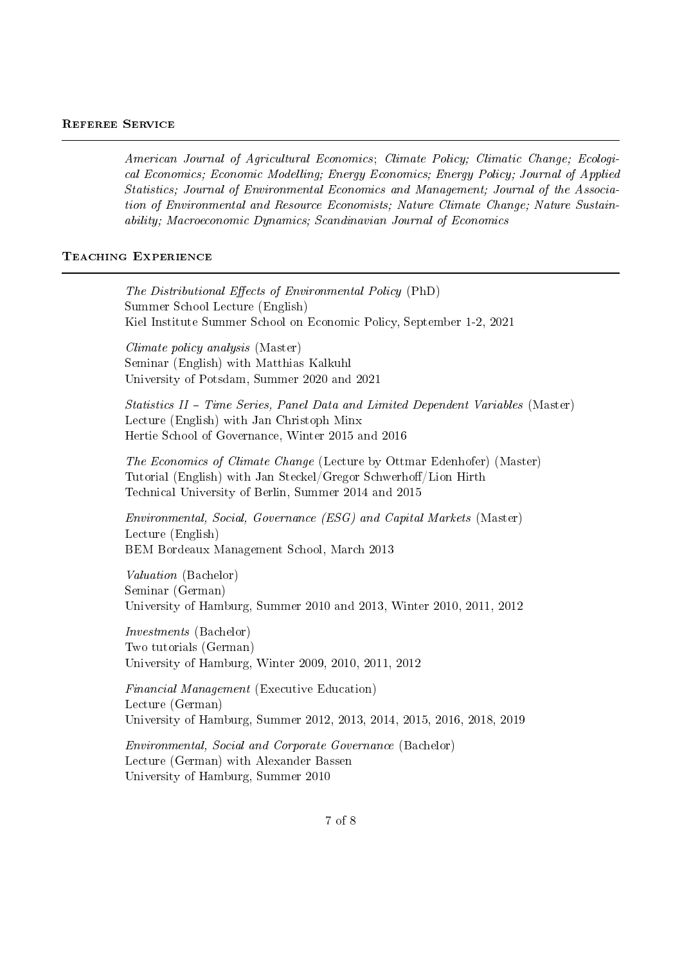#### Referee Service

American Journal of Agricultural Economics; Climate Policy; Climatic Change; Ecological Economics; Economic Modelling; Energy Economics; Energy Policy; Journal of Applied Statistics; Journal of Environmental Economics and Management; Journal of the Association of Environmental and Resource Economists; Nature Climate Change; Nature Sustainability; Macroeconomic Dynamics; Scandinavian Journal of Economics

#### TEACHING EXPERIENCE

The Distributional Effects of Environmental Policy (PhD) Summer School Lecture (English) Kiel Institute Summer School on Economic Policy, September 1-2, 2021 Climate policy analysis (Master) Seminar (English) with Matthias Kalkuhl University of Potsdam, Summer 2020 and 2021 Statistics II – Time Series, Panel Data and Limited Dependent Variables (Master) Lecture (English) with Jan Christoph Minx Hertie School of Governance, Winter 2015 and 2016 The Economics of Climate Change (Lecture by Ottmar Edenhofer) (Master) Tutorial (English) with Jan Steckel/Gregor Schwerhoff/Lion Hirth Technical University of Berlin, Summer 2014 and 2015 Environmental, Social, Governance (ESG) and Capital Markets (Master) Lecture (English) BEM Bordeaux Management School, March 2013 Valuation (Bachelor) Seminar (German) University of Hamburg, Summer 2010 and 2013, Winter 2010, 2011, 2012 Investments (Bachelor) Two tutorials (German) University of Hamburg, Winter 2009, 2010, 2011, 2012 Financial Management (Executive Education) Lecture (German) University of Hamburg, Summer 2012, 2013, 2014, 2015, 2016, 2018, 2019 Environmental, Social and Corporate Governance (Bachelor) Lecture (German) with Alexander Bassen

University of Hamburg, Summer 2010